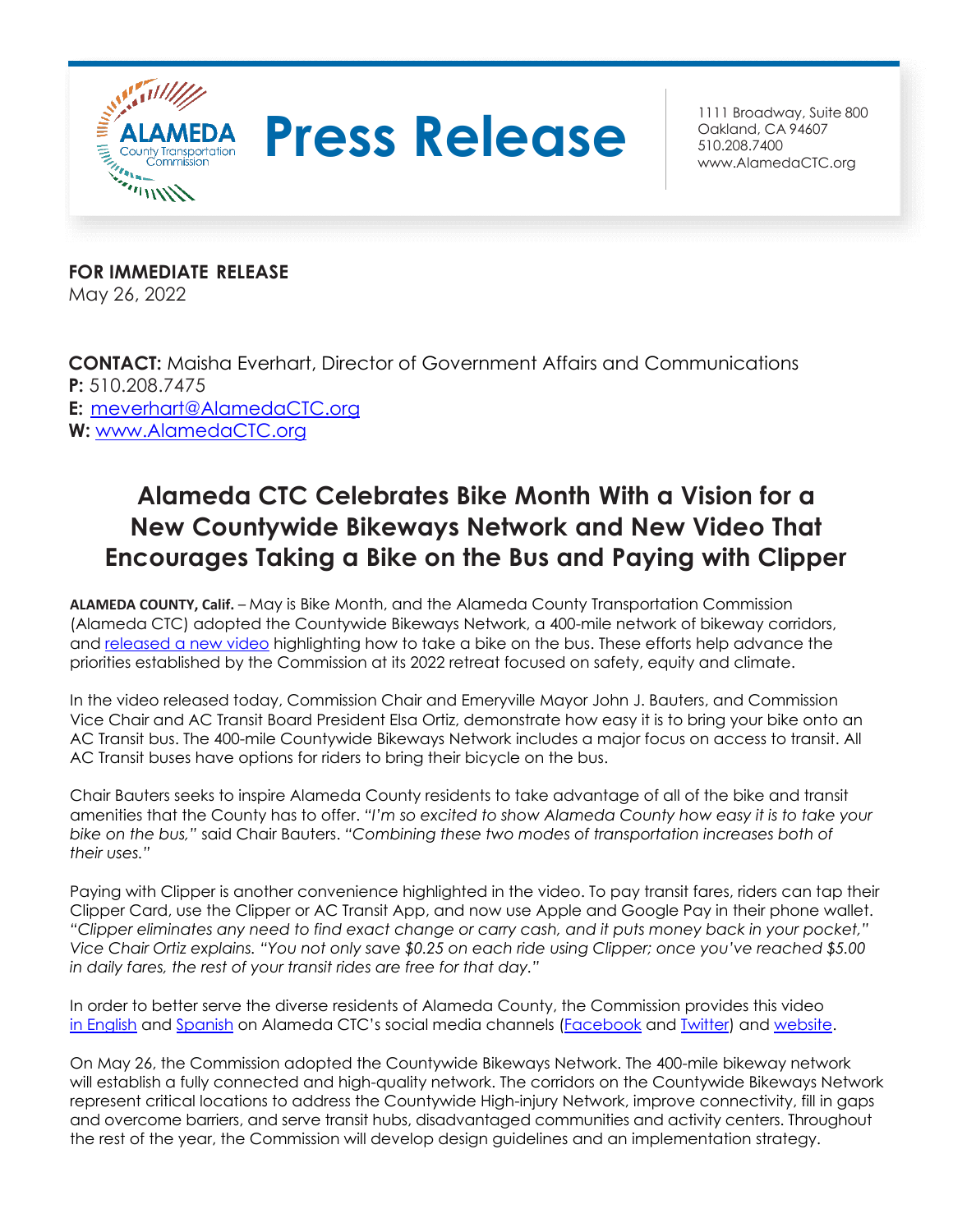

## **Press Release Breadway**, Suite 800

Oakland, CA 94607 510.208.7400 [www.AlamedaCTC.org](http://www.alamedactc.org/)

**FOR IMMEDIATE RELEASE** May 26, 2022

**CONTACT:** Maisha Everhart, Director of Government Affairs and Communications **P:** 510.208.7475 **E:** [meverhart@AlamedaCTC.org](mailto:meverhart@AlamedaCTC.org) **W:** [www.AlamedaCTC.org](http://www.alamedactc.org/)

## **Alameda CTC Celebrates Bike Month With a Vision for a New Countywide Bikeways Network and New Video That Encourages Taking a Bike on the Bus and Paying with Clipper**

**ALAMEDA COUNTY, Calif.** – May is Bike Month, and the Alameda County Transportation Commission (Alameda CTC) adopted the Countywide Bikeways Network, a 400-mile network of bikeway corridors, and [released a new video](https://vimeo.com/714188614) highlighting how to take a bike on the bus. These efforts help advance the priorities established by the Commission at its 2022 retreat focused on safety, equity and climate.

In the video released today, Commission Chair and Emeryville Mayor John J. Bauters, and Commission Vice Chair and AC Transit Board President Elsa Ortiz, demonstrate how easy it is to bring your bike onto an AC Transit bus. The 400-mile Countywide Bikeways Network includes a major focus on access to transit. All AC Transit buses have options for riders to bring their bicycle on the bus.

Chair Bauters seeks to inspire Alameda County residents to take advantage of all of the bike and transit amenities that the County has to offer. *"I'm so excited to show Alameda County how easy it is to take your bike on the bus,"* said Chair Bauters. *"Combining these two modes of transportation increases both of their uses."*

Paying with Clipper is another convenience highlighted in the video. To pay transit fares, riders can tap their Clipper Card, use the Clipper or AC Transit App, and now use Apple and Google Pay in their phone wallet. *"Clipper eliminates any need to find exact change or carry cash, and it puts money back in your pocket," Vice Chair Ortiz explains. "You not only save \$0.25 on each ride using Clipper; once you've reached \$5.00 in daily fares, the rest of your transit rides are free for that day."*

In order to better serve the diverse residents of Alameda County, the Commission provides this video [in English](https://vimeo.com/714188614) and [Spanish](https://vimeo.com/714190197) on Alameda CTC's social media channels ([Facebook](https://www.facebook.com/AlamedaCTC/) and [Twitter\)](https://twitter.com/AlamedaCTC) and [website.](https://www.alamedactc.org/videos/)

On May 26, the Commission adopted the Countywide Bikeways Network. The 400-mile bikeway network will establish a fully connected and high-quality network. The corridors on the Countywide Bikeways Network represent critical locations to address the Countywide High-injury Network, improve connectivity, fill in gaps and overcome barriers, and serve transit hubs, disadvantaged communities and activity centers. Throughout the rest of the year, the Commission will develop design guidelines and an implementation strategy.